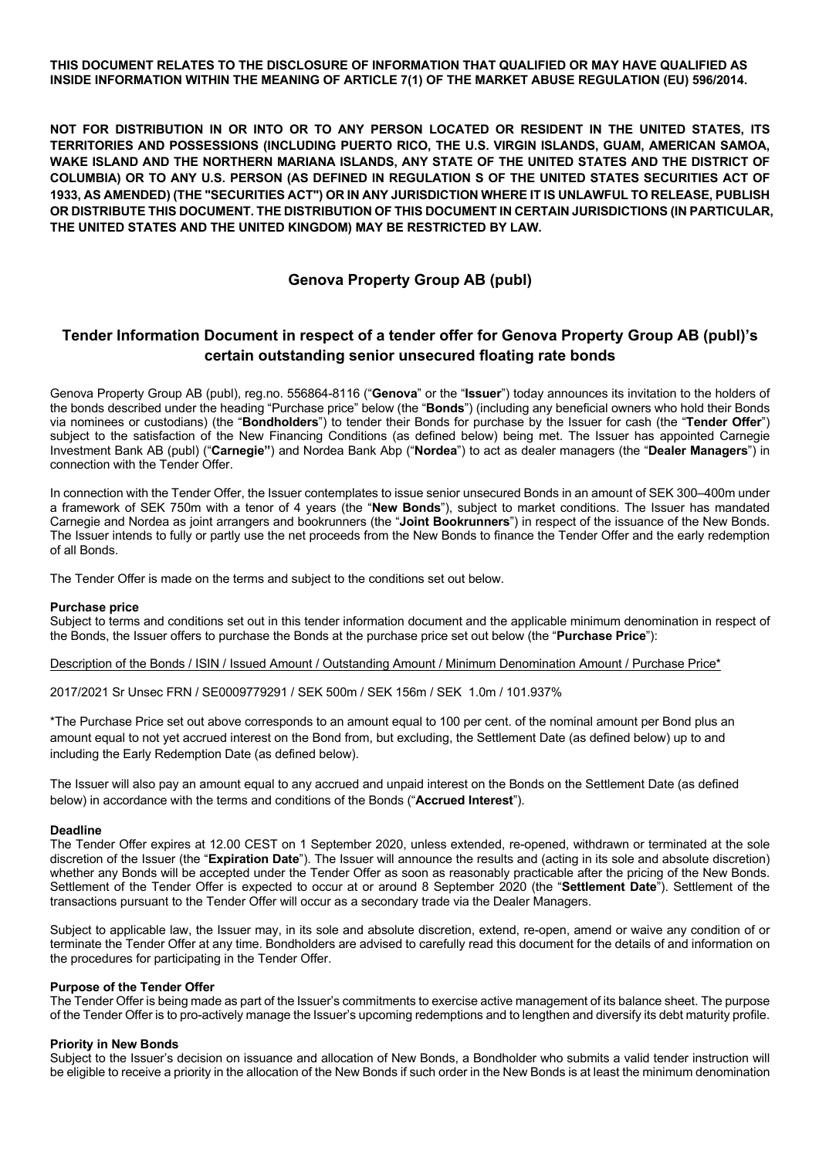**THIS DOCUMENT RELATES TO THE DISCLOSURE OF INFORMATION THAT QUALIFIED OR MAY HAVE QUALIFIED AS INSIDE INFORMATION WITHIN THE MEANING OF ARTICLE 7(1) OF THE MARKET ABUSE REGULATION (EU) 596/2014.**

**NOT FOR DISTRIBUTION IN OR INTO OR TO ANY PERSON LOCATED OR RESIDENT IN THE UNITED STATES, ITS TERRITORIES AND POSSESSIONS (INCLUDING PUERTO RICO, THE U.S. VIRGIN ISLANDS, GUAM, AMERICAN SAMOA, WAKE ISLAND AND THE NORTHERN MARIANA ISLANDS, ANY STATE OF THE UNITED STATES AND THE DISTRICT OF COLUMBIA) OR TO ANY U.S. PERSON (AS DEFINED IN REGULATION S OF THE UNITED STATES SECURITIES ACT OF 1933, AS AMENDED) (THE "SECURITIES ACT") OR IN ANY JURISDICTION WHERE IT IS UNLAWFUL TO RELEASE, PUBLISH OR DISTRIBUTE THIS DOCUMENT. THE DISTRIBUTION OF THIS DOCUMENT IN CERTAIN JURISDICTIONS (IN PARTICULAR, THE UNITED STATES AND THE UNITED KINGDOM) MAY BE RESTRICTED BY LAW.**

## **Genova Property Group AB (publ)**

# **Tender Information Document in respect of a tender offer for Genova Property Group AB (publ)'s certain outstanding senior unsecured floating rate bonds**

Genova Property Group AB (publ), reg.no. 556864-8116 ("**Genova**" or the "**Issuer**") today announces its invitation to the holders of the bonds described under the heading "Purchase price" below (the "**Bonds**") (including any beneficial owners who hold their Bonds via nominees or custodians) (the "**Bondholders**") to tender their Bonds for purchase by the Issuer for cash (the "**Tender Offer**") subject to the satisfaction of the New Financing Conditions (as defined below) being met. The Issuer has appointed Carnegie Investment Bank AB (publ) ("**Carnegie"**) and Nordea Bank Abp ("**Nordea**") to act as dealer managers (the "**Dealer Managers**") in connection with the Tender Offer.

In connection with the Tender Offer, the Issuer contemplates to issue senior unsecured Bonds in an amount of SEK 300–400m under a framework of SEK 750m with a tenor of 4 years (the "**New Bonds**"), subject to market conditions. The Issuer has mandated Carnegie and Nordea as joint arrangers and bookrunners (the "**Joint Bookrunners**") in respect of the issuance of the New Bonds. The Issuer intends to fully or partly use the net proceeds from the New Bonds to finance the Tender Offer and the early redemption of all Bonds.

The Tender Offer is made on the terms and subject to the conditions set out below.

## **Purchase price**

Subject to terms and conditions set out in this tender information document and the applicable minimum denomination in respect of the Bonds, the Issuer offers to purchase the Bonds at the purchase price set out below (the "**Purchase Price**"):

Description of the Bonds / ISIN / Issued Amount / Outstanding Amount / Minimum Denomination Amount / Purchase Price\*

2017/2021 Sr Unsec FRN / SE0009779291 / SEK 500m / SEK 156m / SEK 1.0m / 101.937%

\*The Purchase Price set out above corresponds to an amount equal to 100 per cent. of the nominal amount per Bond plus an amount equal to not yet accrued interest on the Bond from, but excluding, the Settlement Date (as defined below) up to and including the Early Redemption Date (as defined below).

The Issuer will also pay an amount equal to any accrued and unpaid interest on the Bonds on the Settlement Date (as defined below) in accordance with the terms and conditions of the Bonds ("**Accrued Interest**").

## **Deadline**

The Tender Offer expires at 12.00 CEST on 1 September 2020, unless extended, re-opened, withdrawn or terminated at the sole discretion of the Issuer (the "**Expiration Date**"). The Issuer will announce the results and (acting in its sole and absolute discretion) whether any Bonds will be accepted under the Tender Offer as soon as reasonably practicable after the pricing of the New Bonds. Settlement of the Tender Offer is expected to occur at or around 8 September 2020 (the "**Settlement Date**"). Settlement of the transactions pursuant to the Tender Offer will occur as a secondary trade via the Dealer Managers.

Subject to applicable law, the Issuer may, in its sole and absolute discretion, extend, re-open, amend or waive any condition of or terminate the Tender Offer at any time. Bondholders are advised to carefully read this document for the details of and information on the procedures for participating in the Tender Offer.

## **Purpose of the Tender Offer**

The Tender Offer is being made as part of the Issuer's commitments to exercise active management of its balance sheet. The purpose of the Tender Offer is to pro-actively manage the Issuer's upcoming redemptions and to lengthen and diversify its debt maturity profile.

## **Priority in New Bonds**

Subject to the Issuer's decision on issuance and allocation of New Bonds, a Bondholder who submits a valid tender instruction will be eligible to receive a priority in the allocation of the New Bonds if such order in the New Bonds is at least the minimum denomination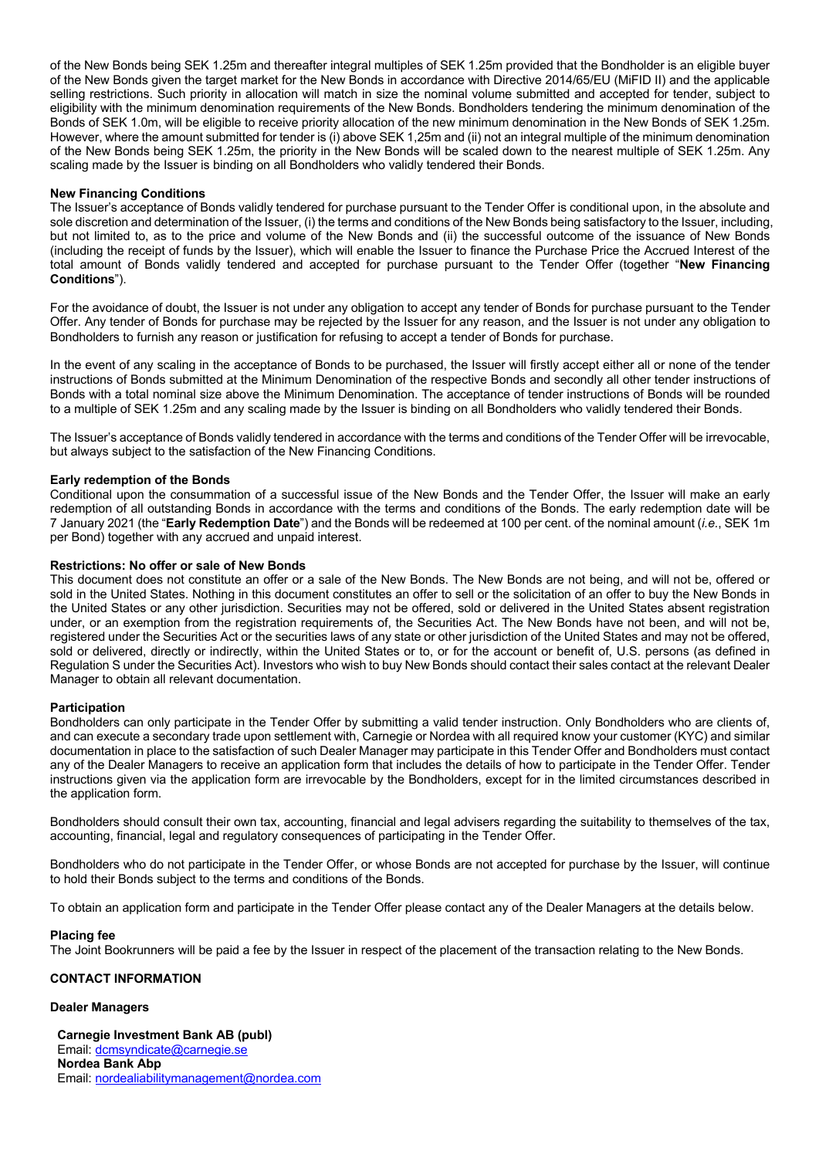of the New Bonds being SEK 1.25m and thereafter integral multiples of SEK 1.25m provided that the Bondholder is an eligible buyer of the New Bonds given the target market for the New Bonds in accordance with Directive 2014/65/EU (MiFID II) and the applicable selling restrictions. Such priority in allocation will match in size the nominal volume submitted and accepted for tender, subject to eligibility with the minimum denomination requirements of the New Bonds. Bondholders tendering the minimum denomination of the Bonds of SEK 1.0m, will be eligible to receive priority allocation of the new minimum denomination in the New Bonds of SEK 1.25m. However, where the amount submitted for tender is (i) above SEK 1,25m and (ii) not an integral multiple of the minimum denomination of the New Bonds being SEK 1.25m, the priority in the New Bonds will be scaled down to the nearest multiple of SEK 1.25m. Any scaling made by the Issuer is binding on all Bondholders who validly tendered their Bonds.

## **New Financing Conditions**

The Issuer's acceptance of Bonds validly tendered for purchase pursuant to the Tender Offer is conditional upon, in the absolute and sole discretion and determination of the Issuer, (i) the terms and conditions of the New Bonds being satisfactory to the Issuer, including, but not limited to, as to the price and volume of the New Bonds and (ii) the successful outcome of the issuance of New Bonds (including the receipt of funds by the Issuer), which will enable the Issuer to finance the Purchase Price the Accrued Interest of the total amount of Bonds validly tendered and accepted for purchase pursuant to the Tender Offer (together "**New Financing Conditions**").

For the avoidance of doubt, the Issuer is not under any obligation to accept any tender of Bonds for purchase pursuant to the Tender Offer. Any tender of Bonds for purchase may be rejected by the Issuer for any reason, and the Issuer is not under any obligation to Bondholders to furnish any reason or justification for refusing to accept a tender of Bonds for purchase.

In the event of any scaling in the acceptance of Bonds to be purchased, the Issuer will firstly accept either all or none of the tender instructions of Bonds submitted at the Minimum Denomination of the respective Bonds and secondly all other tender instructions of Bonds with a total nominal size above the Minimum Denomination. The acceptance of tender instructions of Bonds will be rounded to a multiple of SEK 1.25m and any scaling made by the Issuer is binding on all Bondholders who validly tendered their Bonds.

The Issuer's acceptance of Bonds validly tendered in accordance with the terms and conditions of the Tender Offer will be irrevocable, but always subject to the satisfaction of the New Financing Conditions.

#### **Early redemption of the Bonds**

Conditional upon the consummation of a successful issue of the New Bonds and the Tender Offer, the Issuer will make an early redemption of all outstanding Bonds in accordance with the terms and conditions of the Bonds. The early redemption date will be 7 January 2021 (the "**Early Redemption Date**") and the Bonds will be redeemed at 100 per cent. of the nominal amount (*i.e.*, SEK 1m per Bond) together with any accrued and unpaid interest.

#### **Restrictions: No offer or sale of New Bonds**

This document does not constitute an offer or a sale of the New Bonds. The New Bonds are not being, and will not be, offered or sold in the United States. Nothing in this document constitutes an offer to sell or the solicitation of an offer to buy the New Bonds in the United States or any other jurisdiction. Securities may not be offered, sold or delivered in the United States absent registration under, or an exemption from the registration requirements of, the Securities Act. The New Bonds have not been, and will not be, registered under the Securities Act or the securities laws of any state or other jurisdiction of the United States and may not be offered, sold or delivered, directly or indirectly, within the United States or to, or for the account or benefit of, U.S. persons (as defined in Regulation S under the Securities Act). Investors who wish to buy New Bonds should contact their sales contact at the relevant Dealer Manager to obtain all relevant documentation.

## **Participation**

Bondholders can only participate in the Tender Offer by submitting a valid tender instruction. Only Bondholders who are clients of, and can execute a secondary trade upon settlement with, Carnegie or Nordea with all required know your customer (KYC) and similar documentation in place to the satisfaction of such Dealer Manager may participate in this Tender Offer and Bondholders must contact any of the Dealer Managers to receive an application form that includes the details of how to participate in the Tender Offer. Tender instructions given via the application form are irrevocable by the Bondholders, except for in the limited circumstances described in the application form.

Bondholders should consult their own tax, accounting, financial and legal advisers regarding the suitability to themselves of the tax, accounting, financial, legal and regulatory consequences of participating in the Tender Offer.

Bondholders who do not participate in the Tender Offer, or whose Bonds are not accepted for purchase by the Issuer, will continue to hold their Bonds subject to the terms and conditions of the Bonds.

To obtain an application form and participate in the Tender Offer please contact any of the Dealer Managers at the details below.

#### **Placing fee**

The Joint Bookrunners will be paid a fee by the Issuer in respect of the placement of the transaction relating to the New Bonds.

## **CONTACT INFORMATION**

## **Dealer Managers**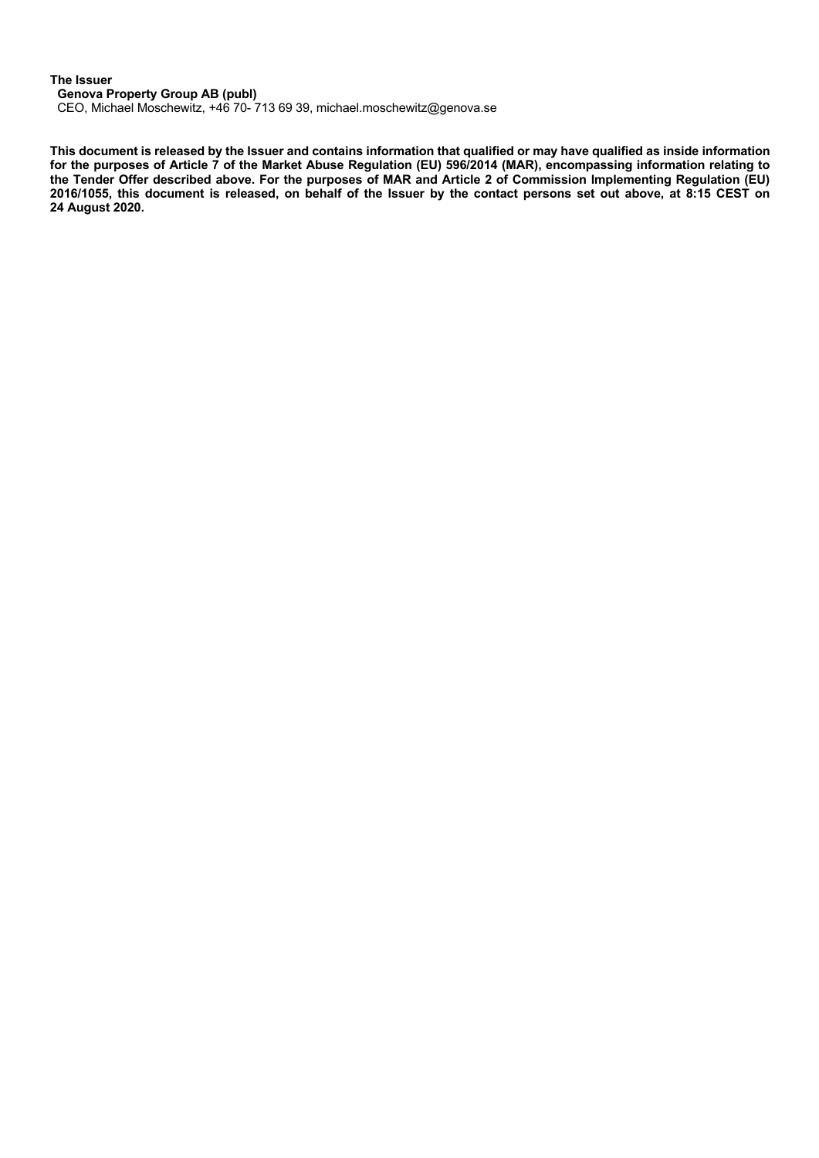## **The Issuer**

**Genova Property Group AB (publ)**

CEO, Michael Moschewitz, +46 70- 713 69 39, michael.moschewitz@genova.se

**This document is released by the Issuer and contains information that qualified or may have qualified as inside information for the purposes of Article 7 of the Market Abuse Regulation (EU) 596/2014 (MAR), encompassing information relating to the Tender Offer described above. For the purposes of MAR and Article 2 of Commission Implementing Regulation (EU) 2016/1055, this document is released, on behalf of the Issuer by the contact persons set out above, at 8:15 CEST on 24 August 2020.**